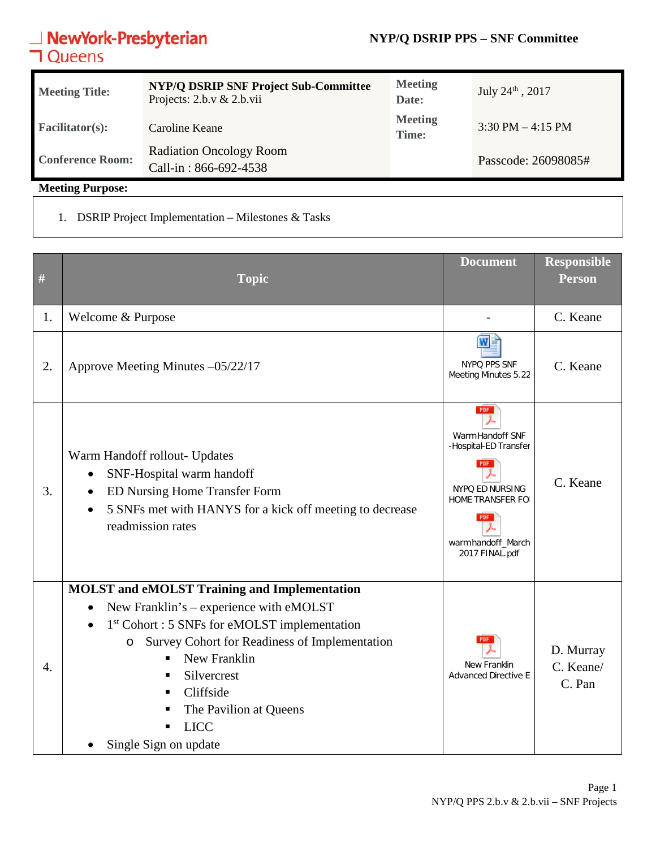### **NYP/Q DSRIP PPS – SNF Committee**

# **NewYork-Presbyterian**<br>**コ**Queens

| <b>Meeting Title:</b>   | <b>NYP/Q DSRIP SNF Project Sub-Committee</b><br>Projects: $2.b.v & 2.b.vii$ | <b>Meeting</b><br>Date: | July $24^{\text{th}}$ , 2017        |
|-------------------------|-----------------------------------------------------------------------------|-------------------------|-------------------------------------|
| <b>Facilitator(s):</b>  | Caroline Keane                                                              | <b>Meeting</b><br>Time: | $3:30 \text{ PM} - 4:15 \text{ PM}$ |
| <b>Conference Room:</b> | <b>Radiation Oncology Room</b><br>Call-in: 866-692-4538                     |                         | Passcode: 26098085#                 |

**Meeting Purpose:** 

1. DSRIP Project Implementation – Milestones & Tasks

| #  | <b>Topic</b>                                                                                                                                                                                                                                                                                                                                                      | <b>Document</b>                                                                                                                                                     | <b>Responsible</b><br><b>Person</b> |
|----|-------------------------------------------------------------------------------------------------------------------------------------------------------------------------------------------------------------------------------------------------------------------------------------------------------------------------------------------------------------------|---------------------------------------------------------------------------------------------------------------------------------------------------------------------|-------------------------------------|
| 1. | Welcome & Purpose                                                                                                                                                                                                                                                                                                                                                 |                                                                                                                                                                     | C. Keane                            |
| 2. | Approve Meeting Minutes -05/22/17                                                                                                                                                                                                                                                                                                                                 | NYPQ PPS SNF<br>Meeting Minutes 5.22                                                                                                                                | C. Keane                            |
| 3. | Warm Handoff rollout- Updates<br>SNF-Hospital warm handoff<br>$\bullet$<br>ED Nursing Home Transfer Form<br>$\bullet$<br>5 SNFs met with HANYS for a kick off meeting to decrease<br>$\bullet$<br>readmission rates                                                                                                                                               | PDF<br>Warm Handoff SNF<br>-Hospital-ED Transfer<br><b>PDF</b><br>NYPQ ED NURSING<br><b>HOME TRANSFER FOI</b><br><b>PDF</b><br>warm handoff_March<br>2017 FINAL.pdf | C. Keane                            |
| 4. | <b>MOLST</b> and eMOLST Training and Implementation<br>New Franklin's - experience with eMOLST<br>$\bullet$<br>1 <sup>st</sup> Cohort : 5 SNFs for eMOLST implementation<br>Survey Cohort for Readiness of Implementation<br>$\circ$<br>New Franklin<br>٠<br>Silvercrest<br>٠<br>Cliffside<br>The Pavilion at Queens<br>п<br><b>LICC</b><br>Single Sign on update | <b>PDF</b><br>New Franklin<br><b>Advanced Directive E</b>                                                                                                           | D. Murray<br>C. Keane/<br>C. Pan    |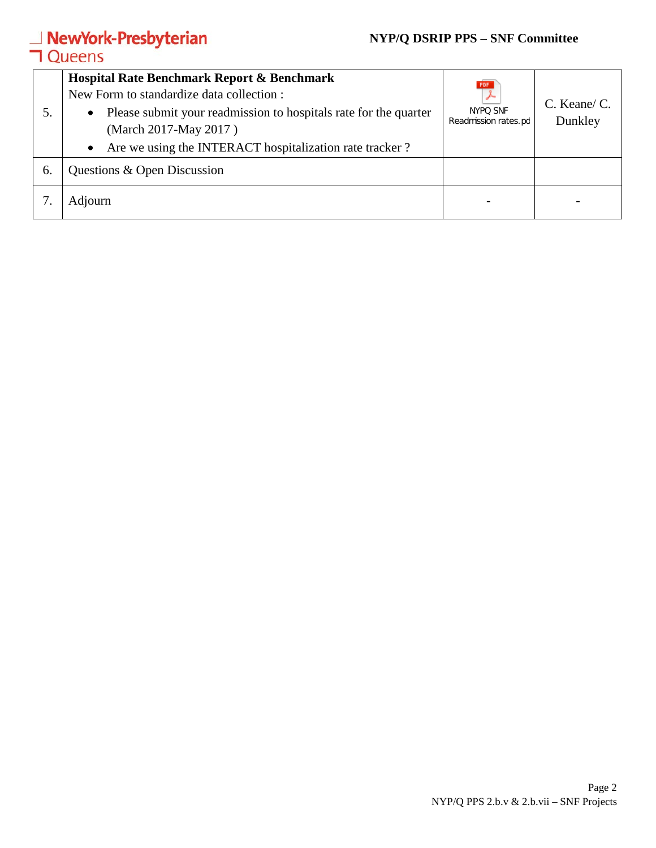### **NYP/Q DSRIP PPS – SNF Committee**

# **NewYork-Presbyterian**<br>**コ**Queens

| 5. | <b>Hospital Rate Benchmark Report &amp; Benchmark</b><br>New Form to standardize data collection :<br>Please submit your readmission to hospitals rate for the quarter<br>$\bullet$<br>(March 2017-May 2017)<br>Are we using the INTERACT hospitalization rate tracker?<br>$\bullet$ | PDF<br>NYPO SNF<br>Readmission rates.pd | C. Keane/ C.<br>Dunkley |
|----|--------------------------------------------------------------------------------------------------------------------------------------------------------------------------------------------------------------------------------------------------------------------------------------|-----------------------------------------|-------------------------|
| 6. | Questions & Open Discussion                                                                                                                                                                                                                                                          |                                         |                         |
|    | Adjourn                                                                                                                                                                                                                                                                              |                                         |                         |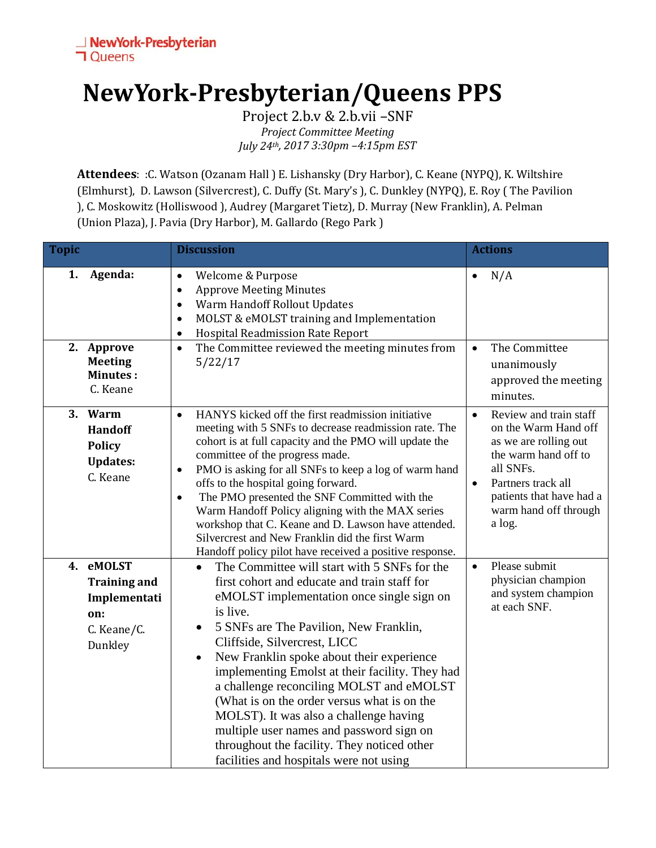## **NewYork-Presbyterian/Queens PPS**

Project 2.b.v & 2.b.vii –SNF *Project Committee Meeting July 24th, 2017 3:30pm –4:15pm EST*

**Attendees**: :C. Watson (Ozanam Hall ) E. Lishansky (Dry Harbor), C. Keane (NYPQ), K. Wiltshire (Elmhurst), D. Lawson (Silvercrest), C. Duffy (St. Mary's ), C. Dunkley (NYPQ), E. Roy ( The Pavilion ), C. Moskowitz (Holliswood ), Audrey (Margaret Tietz), D. Murray (New Franklin), A. Pelman (Union Plaza), J. Pavia (Dry Harbor), M. Gallardo (Rego Park )

| <b>Topic</b> |                                                                                | <b>Discussion</b>                                                                                                                                                                                                                                                                                                                                                                                                                                                                                                                                                                                                                                 | <b>Actions</b>                                                                                                                                                                                                              |
|--------------|--------------------------------------------------------------------------------|---------------------------------------------------------------------------------------------------------------------------------------------------------------------------------------------------------------------------------------------------------------------------------------------------------------------------------------------------------------------------------------------------------------------------------------------------------------------------------------------------------------------------------------------------------------------------------------------------------------------------------------------------|-----------------------------------------------------------------------------------------------------------------------------------------------------------------------------------------------------------------------------|
| 1.           | Agenda:<br>2. Approve<br><b>Meeting</b>                                        | Welcome & Purpose<br>$\bullet$<br><b>Approve Meeting Minutes</b><br>$\bullet$<br>Warm Handoff Rollout Updates<br>$\bullet$<br>MOLST & eMOLST training and Implementation<br>$\bullet$<br>Hospital Readmission Rate Report<br>$\bullet$<br>The Committee reviewed the meeting minutes from<br>$\bullet$<br>5/22/17                                                                                                                                                                                                                                                                                                                                 | N/A<br>$\bullet$<br>The Committee<br>$\bullet$<br>unanimously                                                                                                                                                               |
|              | <b>Minutes:</b><br>C. Keane                                                    |                                                                                                                                                                                                                                                                                                                                                                                                                                                                                                                                                                                                                                                   | approved the meeting<br>minutes.                                                                                                                                                                                            |
| 3.           | Warm<br><b>Handoff</b><br><b>Policy</b><br><b>Updates:</b><br>C. Keane         | HANYS kicked off the first readmission initiative<br>$\bullet$<br>meeting with 5 SNFs to decrease readmission rate. The<br>cohort is at full capacity and the PMO will update the<br>committee of the progress made.<br>PMO is asking for all SNFs to keep a log of warm hand<br>$\bullet$<br>offs to the hospital going forward.<br>The PMO presented the SNF Committed with the<br>$\bullet$<br>Warm Handoff Policy aligning with the MAX series<br>workshop that C. Keane and D. Lawson have attended.<br>Silvercrest and New Franklin did the first Warm<br>Handoff policy pilot have received a positive response.                           | Review and train staff<br>$\bullet$<br>on the Warm Hand off<br>as we are rolling out<br>the warm hand off to<br>all SNFs.<br>Partners track all<br>$\bullet$<br>patients that have had a<br>warm hand off through<br>a log. |
| 4.           | eMOLST<br><b>Training and</b><br>Implementati<br>on:<br>C. Keane/C.<br>Dunkley | The Committee will start with 5 SNFs for the<br>$\bullet$<br>first cohort and educate and train staff for<br>eMOLST implementation once single sign on<br>is live.<br>5 SNFs are The Pavilion, New Franklin,<br>$\bullet$<br>Cliffside, Silvercrest, LICC<br>New Franklin spoke about their experience<br>$\bullet$<br>implementing Emolst at their facility. They had<br>a challenge reconciling MOLST and eMOLST<br>(What is on the order versus what is on the<br>MOLST). It was also a challenge having<br>multiple user names and password sign on<br>throughout the facility. They noticed other<br>facilities and hospitals were not using | Please submit<br>$\bullet$<br>physician champion<br>and system champion<br>at each SNF.                                                                                                                                     |